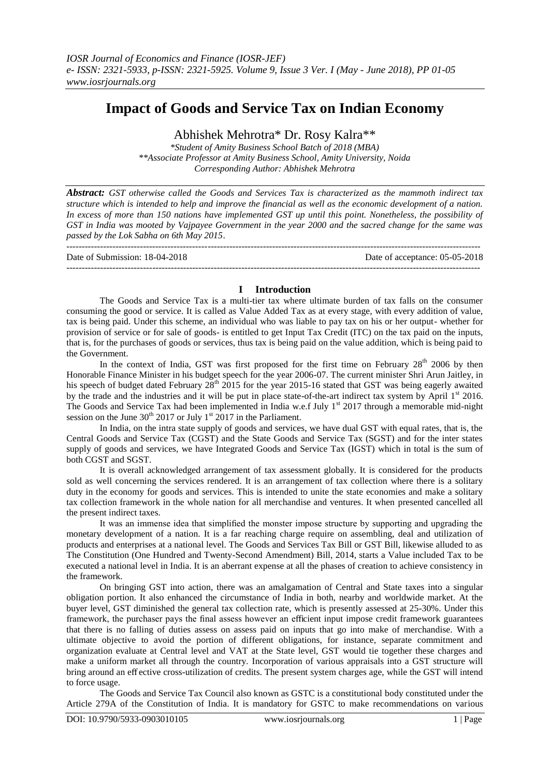# **Impact of Goods and Service Tax on Indian Economy**

Abhishek Mehrotra\* Dr. Rosy Kalra\*\*

*\*Student of Amity Business School Batch of 2018 (MBA) \*\*Associate Professor at Amity Business School, Amity University, Noida Corresponding Author: Abhishek Mehrotra*

*Abstract: GST otherwise called the Goods and Services Tax is characterized as the mammoth indirect tax structure which is intended to help and improve the financial as well as the economic development of a nation. In excess of more than 150 nations have implemented GST up until this point. Nonetheless, the possibility of GST in India was mooted by Vajpayee Government in the year 2000 and the sacred change for the same was passed by the Lok Sabha on 6th May 2015*.

--------------------------------------------------------------------------------------------------------------------------------------- Date of Submission: 18-04-2018 Date of acceptance: 05-05-2018 ---------------------------------------------------------------------------------------------------------------------------------------

## **I Introduction**

The Goods and Service Tax is a multi-tier tax where ultimate burden of tax falls on the consumer consuming the good or service. It is called as Value Added Tax as at every stage, with every addition of value, tax is being paid. Under this scheme, an individual who was liable to pay tax on his or her output- whether for provision of service or for sale of goods- is entitled to get Input Tax Credit (ITC) on the tax paid on the inputs, that is, for the purchases of goods or services, thus tax is being paid on the value addition, which is being paid to the Government.

In the context of India, GST was first proposed for the first time on February  $28<sup>th</sup>$  2006 by then Honorable Finance Minister in his budget speech for the year 2006-07. The current minister Shri Arun Jaitley, in his speech of budget dated February  $28<sup>th</sup>$  2015 for the year 2015-16 stated that GST was being eagerly awaited by the trade and the industries and it will be put in place state-of-the-art indirect tax system by April 1<sup>st</sup> 2016. The Goods and Service Tax had been implemented in India w.e.f July 1<sup>st</sup> 2017 through a memorable mid-night session on the June  $30^{th}$  2017 or July 1<sup>st</sup> 2017 in the Parliament.

In India, on the intra state supply of goods and services, we have dual GST with equal rates, that is, the Central Goods and Service Tax (CGST) and the State Goods and Service Tax (SGST) and for the inter states supply of goods and services, we have Integrated Goods and Service Tax (IGST) which in total is the sum of both CGST and SGST.

It is overall acknowledged arrangement of tax assessment globally. It is considered for the products sold as well concerning the services rendered. It is an arrangement of tax collection where there is a solitary duty in the economy for goods and services. This is intended to unite the state economies and make a solitary tax collection framework in the whole nation for all merchandise and ventures. It when presented cancelled all the present indirect taxes.

It was an immense idea that simplified the monster impose structure by supporting and upgrading the monetary development of a nation. It is a far reaching charge require on assembling, deal and utilization of products and enterprises at a national level. The Goods and Services Tax Bill or GST Bill, likewise alluded to as The Constitution (One Hundred and Twenty-Second Amendment) Bill, 2014, starts a Value included Tax to be executed a national level in India. It is an aberrant expense at all the phases of creation to achieve consistency in the framework.

On bringing GST into action, there was an amalgamation of Central and State taxes into a singular obligation portion. It also enhanced the circumstance of India in both, nearby and worldwide market. At the buyer level, GST diminished the general tax collection rate, which is presently assessed at 25-30%. Under this framework, the purchaser pays the final assess however an efficient input impose credit framework guarantees that there is no falling of duties assess on assess paid on inputs that go into make of merchandise. With a ultimate objective to avoid the portion of different obligations, for instance, separate commitment and organization evaluate at Central level and VAT at the State level, GST would tie together these charges and make a uniform market all through the country. Incorporation of various appraisals into a GST structure will bring around an eff ective cross-utilization of credits. The present system charges age, while the GST will intend to force usage.

The Goods and Service Tax Council also known as GSTC is a constitutional body constituted under the Article 279A of the Constitution of India. It is mandatory for GSTC to make recommendations on various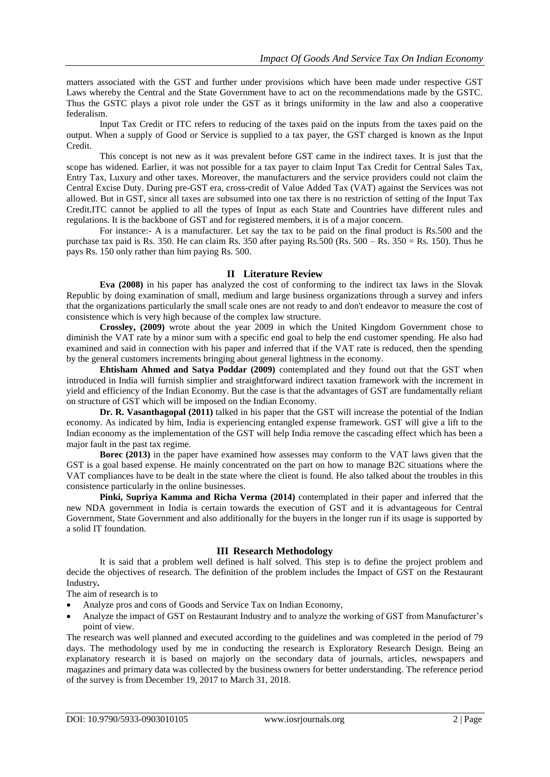matters associated with the GST and further under provisions which have been made under respective GST Laws whereby the Central and the State Government have to act on the recommendations made by the GSTC. Thus the GSTC plays a pivot role under the GST as it brings uniformity in the law and also a cooperative federalism.

Input Tax Credit or ITC refers to reducing of the taxes paid on the inputs from the taxes paid on the output. When a supply of Good or Service is supplied to a tax payer, the GST charged is known as the Input Credit.

This concept is not new as it was prevalent before GST came in the indirect taxes. It is just that the scope has widened. Earlier, it was not possible for a tax payer to claim Input Tax Credit for Central Sales Tax, Entry Tax, Luxury and other taxes. Moreover, the manufacturers and the service providers could not claim the Central Excise Duty. During pre-GST era, cross-credit of Value Added Tax (VAT) against the Services was not allowed. But in GST, since all taxes are subsumed into one tax there is no restriction of setting of the Input Tax Credit.ITC cannot be applied to all the types of Input as each State and Countries have different rules and regulations. It is the backbone of GST and for registered members, it is of a major concern.

For instance:- A is a manufacturer. Let say the tax to be paid on the final product is Rs.500 and the purchase tax paid is Rs. 350. He can claim Rs. 350 after paying Rs.500 (Rs.  $500 - \text{Rs}$ . 350 = Rs. 150). Thus he pays Rs. 150 only rather than him paying Rs. 500.

## **II Literature Review**

**Eva (2008)** in his paper has analyzed the cost of conforming to the indirect tax laws in the Slovak Republic by doing examination of small, medium and large business organizations through a survey and infers that the organizations particularly the small scale ones are not ready to and don't endeavor to measure the cost of consistence which is very high because of the complex law structure.

**Crossley, (2009)** wrote about the year 2009 in which the United Kingdom Government chose to diminish the VAT rate by a minor sum with a specific end goal to help the end customer spending. He also had examined and said in connection with his paper and inferred that if the VAT rate is reduced, then the spending by the general customers increments bringing about general lightness in the economy.

**Ehtisham Ahmed and Satya Poddar (2009)** contemplated and they found out that the GST when introduced in India will furnish simplier and straightforward indirect taxation framework with the increment in yield and efficiency of the Indian Economy. But the case is that the advantages of GST are fundamentally reliant on structure of GST which will be imposed on the Indian Economy.

**Dr. R. Vasanthagopal (2011)** talked in his paper that the GST will increase the potential of the Indian economy. As indicated by him, India is experiencing entangled expense framework. GST will give a lift to the Indian economy as the implementation of the GST will help India remove the cascading effect which has been a major fault in the past tax regime.

**Borec (2013)** in the paper have examined how assesses may conform to the VAT laws given that the GST is a goal based expense. He mainly concentrated on the part on how to manage B2C situations where the VAT compliances have to be dealt in the state where the client is found. He also talked about the troubles in this consistence particularly in the online businesses.

**Pinki, Supriya Kamma and Richa Verma (2014)** contemplated in their paper and inferred that the new NDA government in India is certain towards the execution of GST and it is advantageous for Central Government, State Government and also additionally for the buyers in the longer run if its usage is supported by a solid IT foundation.

# **III Research Methodology**

It is said that a problem well defined is half solved. This step is to define the project problem and decide the objectives of research. The definition of the problem includes the Impact of GST on the Restaurant Industry**.**

The aim of research is to

- Analyze pros and cons of Goods and Service Tax on Indian Economy,
- Analyze the impact of GST on Restaurant Industry and to analyze the working of GST from Manufacturer"s point of view.

The research was well planned and executed according to the guidelines and was completed in the period of 79 days. The methodology used by me in conducting the research is Exploratory Research Design. Being an explanatory research it is based on majorly on the secondary data of journals, articles, newspapers and magazines and primary data was collected by the business owners for better understanding. The reference period of the survey is from December 19, 2017 to March 31, 2018.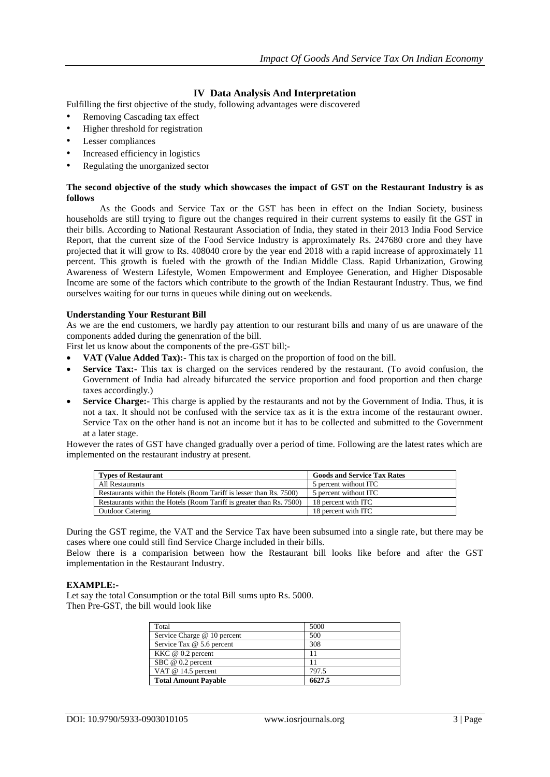# **IV Data Analysis And Interpretation**

Fulfilling the first objective of the study, following advantages were discovered

- Removing Cascading tax effect
- Higher threshold for registration
- Lesser compliances
- Increased efficiency in logistics
- Regulating the unorganized sector

## **The second objective of the study which showcases the impact of GST on the Restaurant Industry is as follows**

As the Goods and Service Tax or the GST has been in effect on the Indian Society, business households are still trying to figure out the changes required in their current systems to easily fit the GST in their bills. According to National Restaurant Association of India, they stated in their 2013 India Food Service Report, that the current size of the Food Service Industry is approximately Rs. 247680 crore and they have projected that it will grow to Rs. 408040 crore by the year end 2018 with a rapid increase of approximately 11 percent. This growth is fueled with the growth of the Indian Middle Class. Rapid Urbanization, Growing Awareness of Western Lifestyle, Women Empowerment and Employee Generation, and Higher Disposable Income are some of the factors which contribute to the growth of the Indian Restaurant Industry. Thus, we find ourselves waiting for our turns in queues while dining out on weekends.

## **Understanding Your Resturant Bill**

As we are the end customers, we hardly pay attention to our resturant bills and many of us are unaware of the components added during the genenration of the bill.

First let us know about the components of the pre-GST bill;-

- **VAT (Value Added Tax):-** This tax is charged on the proportion of food on the bill.
- **Service Tax:** This tax is charged on the services rendered by the restaurant. (To avoid confusion, the Government of India had already bifurcated the service proportion and food proportion and then charge taxes accordingly.)
- **Service Charge:** This charge is applied by the restaurants and not by the Government of India. Thus, it is not a tax. It should not be confused with the service tax as it is the extra income of the restaurant owner. Service Tax on the other hand is not an income but it has to be collected and submitted to the Government at a later stage.

However the rates of GST have changed gradually over a period of time. Following are the latest rates which are implemented on the restaurant industry at present.

| <b>Types of Restaurant</b>                                           | <b>Goods and Service Tax Rates</b> |  |
|----------------------------------------------------------------------|------------------------------------|--|
| All Restaurants                                                      | 5 percent without ITC              |  |
| Restaurants within the Hotels (Room Tariff is lesser than Rs. 7500)  | 5 percent without ITC              |  |
| Restaurants within the Hotels (Room Tariff is greater than Rs. 7500) | 18 percent with ITC                |  |
| <b>Outdoor Catering</b>                                              | 18 percent with ITC                |  |

During the GST regime, the VAT and the Service Tax have been subsumed into a single rate, but there may be cases where one could still find Service Charge included in their bills.

Below there is a comparision between how the Restaurant bill looks like before and after the GST implementation in the Restaurant Industry.

#### **EXAMPLE:-**

Let say the total Consumption or the total Bill sums upto Rs. 5000. Then Pre-GST, the bill would look like

| Total                       | 5000   |
|-----------------------------|--------|
| Service Charge @ 10 percent | 500    |
| Service Tax @ 5.6 percent   | 308    |
| $KKC \ @$ 0.2 percent       |        |
| SBC @ 0.2 percent           |        |
| VAT $@14.5$ percent         | 797.5  |
| <b>Total Amount Payable</b> | 6627.5 |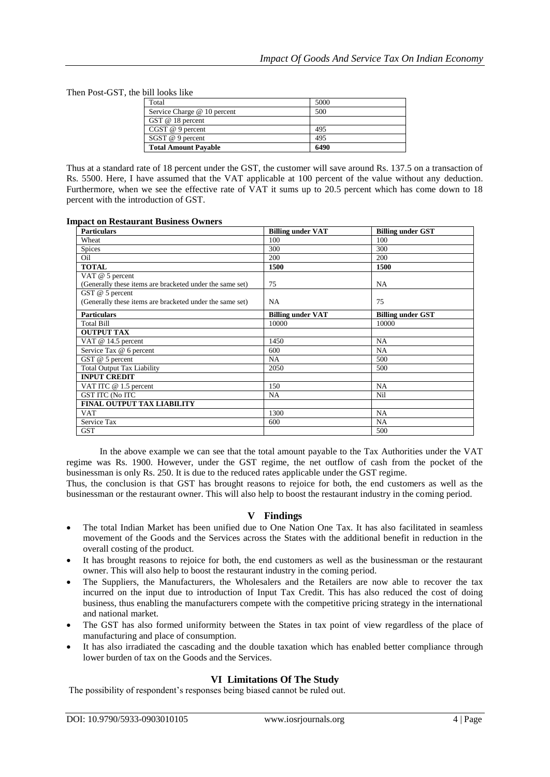Then Post-GST, the bill looks like

| Total                       | 5000 |
|-----------------------------|------|
| Service Charge @ 10 percent | 500  |
| GST $@$ 18 percent          |      |
| $CGST@9$ percent            | 495  |
| SGST @ 9 percent            | 495  |
| <b>Total Amount Payable</b> | 6490 |

Thus at a standard rate of 18 percent under the GST, the customer will save around Rs. 137.5 on a transaction of Rs. 5500. Here, I have assumed that the VAT applicable at 100 percent of the value without any deduction. Furthermore, when we see the effective rate of VAT it sums up to 20.5 percent which has come down to 18 percent with the introduction of GST.

| <b>Particulars</b>                                       | <b>Billing under VAT</b> | <b>Billing under GST</b> |
|----------------------------------------------------------|--------------------------|--------------------------|
| Wheat                                                    | 100                      | 100                      |
| Spices                                                   | 300                      | 300                      |
| Oil                                                      | 200                      | 200                      |
| <b>TOTAL</b>                                             | 1500                     | 1500                     |
| VAT $@$ 5 percent                                        |                          |                          |
| (Generally these items are bracketed under the same set) | 75                       | NA                       |
| GST $@$ 5 percent                                        |                          |                          |
| (Generally these items are bracketed under the same set) | <b>NA</b>                | 75                       |
| <b>Particulars</b>                                       | <b>Billing under VAT</b> | <b>Billing under GST</b> |
| <b>Total Bill</b>                                        | 10000                    | 10000                    |
| <b>OUTPUT TAX</b>                                        |                          |                          |
| VAT @ 14.5 percent                                       | 1450                     | NA                       |
| Service Tax @ 6 percent                                  | 600                      | NA                       |
| GST @ 5 percent                                          | NA                       | 500                      |
| <b>Total Output Tax Liability</b>                        | 2050                     | 500                      |
| <b>INPUT CREDIT</b>                                      |                          |                          |
| VAT ITC @ 1.5 percent                                    | 150                      | <b>NA</b>                |
| <b>GST ITC (No ITC</b>                                   | NA.                      | Nil                      |
| <b>FINAL OUTPUT TAX LIABILITY</b>                        |                          |                          |
| <b>VAT</b>                                               | 1300                     | NA                       |
| Service Tax                                              | 600                      | NA.                      |
| <b>GST</b>                                               |                          | 500                      |

In the above example we can see that the total amount payable to the Tax Authorities under the VAT regime was Rs. 1900. However, under the GST regime, the net outflow of cash from the pocket of the businessman is only Rs. 250. It is due to the reduced rates applicable under the GST regime.

Thus, the conclusion is that GST has brought reasons to rejoice for both, the end customers as well as the businessman or the restaurant owner. This will also help to boost the restaurant industry in the coming period.

## **V Findings**

- The total Indian Market has been unified due to One Nation One Tax. It has also facilitated in seamless movement of the Goods and the Services across the States with the additional benefit in reduction in the overall costing of the product.
- It has brought reasons to rejoice for both, the end customers as well as the businessman or the restaurant owner. This will also help to boost the restaurant industry in the coming period.
- The Suppliers, the Manufacturers, the Wholesalers and the Retailers are now able to recover the tax incurred on the input due to introduction of Input Tax Credit. This has also reduced the cost of doing business, thus enabling the manufacturers compete with the competitive pricing strategy in the international and national market.
- The GST has also formed uniformity between the States in tax point of view regardless of the place of manufacturing and place of consumption.
- It has also irradiated the cascading and the double taxation which has enabled better compliance through lower burden of tax on the Goods and the Services.

# **VI Limitations Of The Study**

The possibility of respondent's responses being biased cannot be ruled out.